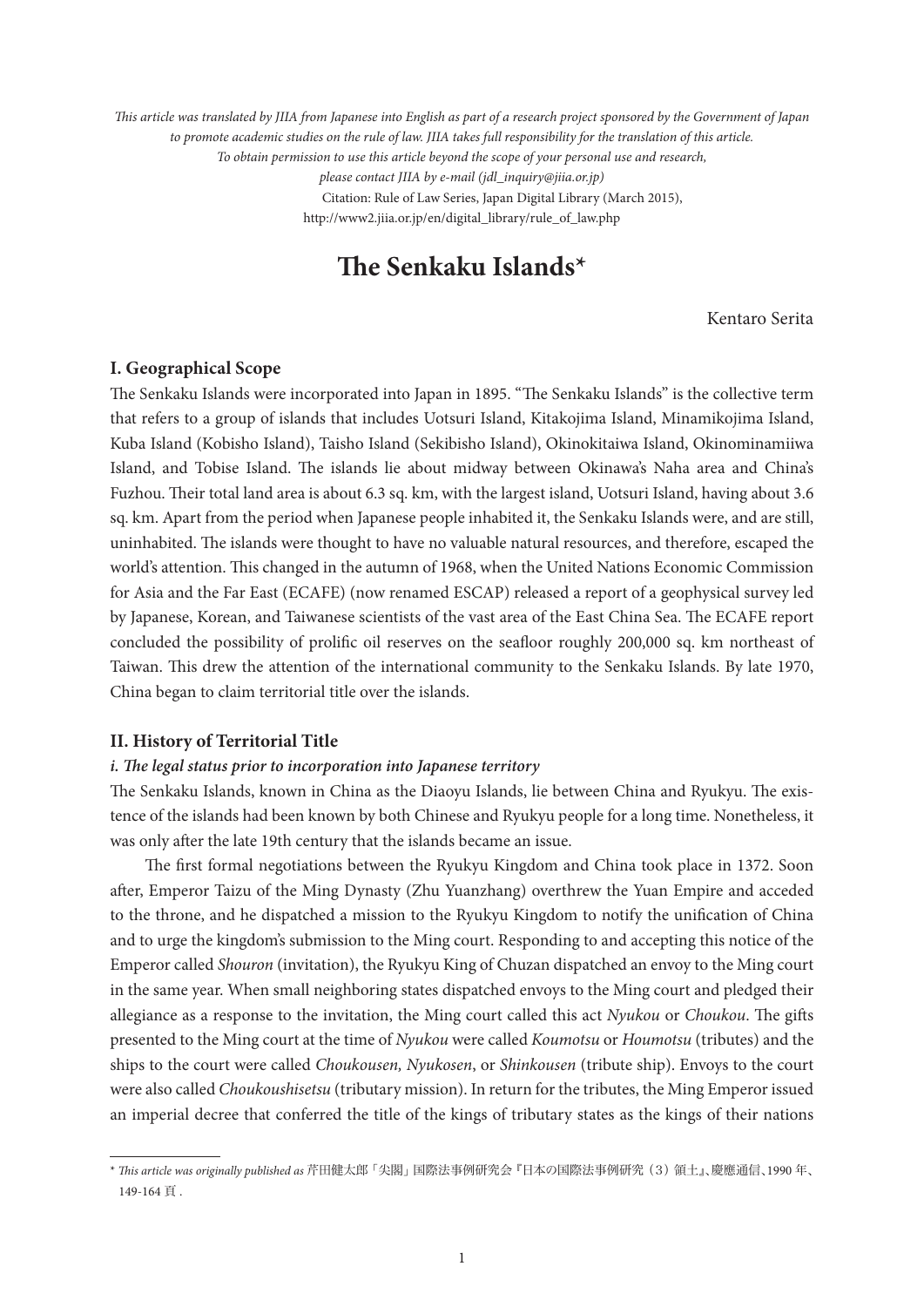*This article was translated by JIIA from Japanese into English as part of a research project sponsored by the Government of Japan to promote academic studies on the rule of law. JIIA takes full responsibility for the translation of this article. To obtain permission to use this article beyond the scope of your personal use and research,* 

*please contact JIIA by e-mail (jdl\_inquiry@jiia.or.jp)* Citation: Rule of Law Series, Japan Digital Library (March 2015), http://www2.jiia.or.jp/en/digital\_library/rule\_of\_law.php

# **The Senkaku Islands\*1**

Kentaro Serita

# **I. Geographical Scope**

The Senkaku Islands were incorporated into Japan in 1895. "The Senkaku Islands" is the collective term that refers to a group of islands that includes Uotsuri Island, Kitakojima Island, Minamikojima Island, Kuba Island (Kobisho Island), Taisho Island (Sekibisho Island), Okinokitaiwa Island, Okinominamiiwa Island, and Tobise Island. The islands lie about midway between Okinawa's Naha area and China's Fuzhou. Their total land area is about 6.3 sq. km, with the largest island, Uotsuri Island, having about 3.6 sq. km. Apart from the period when Japanese people inhabited it, the Senkaku Islands were, and are still, uninhabited. The islands were thought to have no valuable natural resources, and therefore, escaped the world's attention. This changed in the autumn of 1968, when the United Nations Economic Commission for Asia and the Far East (ECAFE) (now renamed ESCAP) released a report of a geophysical survey led by Japanese, Korean, and Taiwanese scientists of the vast area of the East China Sea. The ECAFE report concluded the possibility of prolific oil reserves on the seafloor roughly 200,000 sq. km northeast of Taiwan. This drew the attention of the international community to the Senkaku Islands. By late 1970, China began to claim territorial title over the islands.

#### **II. History of Territorial Title**

#### *i. The legal status prior to incorporation into Japanese territory*

The Senkaku Islands, known in China as the Diaoyu Islands, lie between China and Ryukyu. The existence of the islands had been known by both Chinese and Ryukyu people for a long time. Nonetheless, it was only after the late 19th century that the islands became an issue.

The first formal negotiations between the Ryukyu Kingdom and China took place in 1372. Soon after, Emperor Taizu of the Ming Dynasty (Zhu Yuanzhang) overthrew the Yuan Empire and acceded to the throne, and he dispatched a mission to the Ryukyu Kingdom to notify the unification of China and to urge the kingdom's submission to the Ming court. Responding to and accepting this notice of the Emperor called *Shouron* (invitation), the Ryukyu King of Chuzan dispatched an envoy to the Ming court in the same year. When small neighboring states dispatched envoys to the Ming court and pledged their allegiance as a response to the invitation, the Ming court called this act *Nyukou* or *Choukou*. The gifts presented to the Ming court at the time of *Nyukou* were called *Koumotsu* or *Houmotsu* (tributes) and the ships to the court were called *Choukousen, Nyukosen*, or *Shinkousen* (tribute ship). Envoys to the court were also called *Choukoushisetsu* (tributary mission). In return for the tributes, the Ming Emperor issued an imperial decree that conferred the title of the kings of tributary states as the kings of their nations

<sup>\*</sup> *This article was originally published as* 芹田健太郎「尖閣」国際法事例研究会『日本の国際法事例研究(3)領土』、慶應通信、1990 年、 149-164 頁 .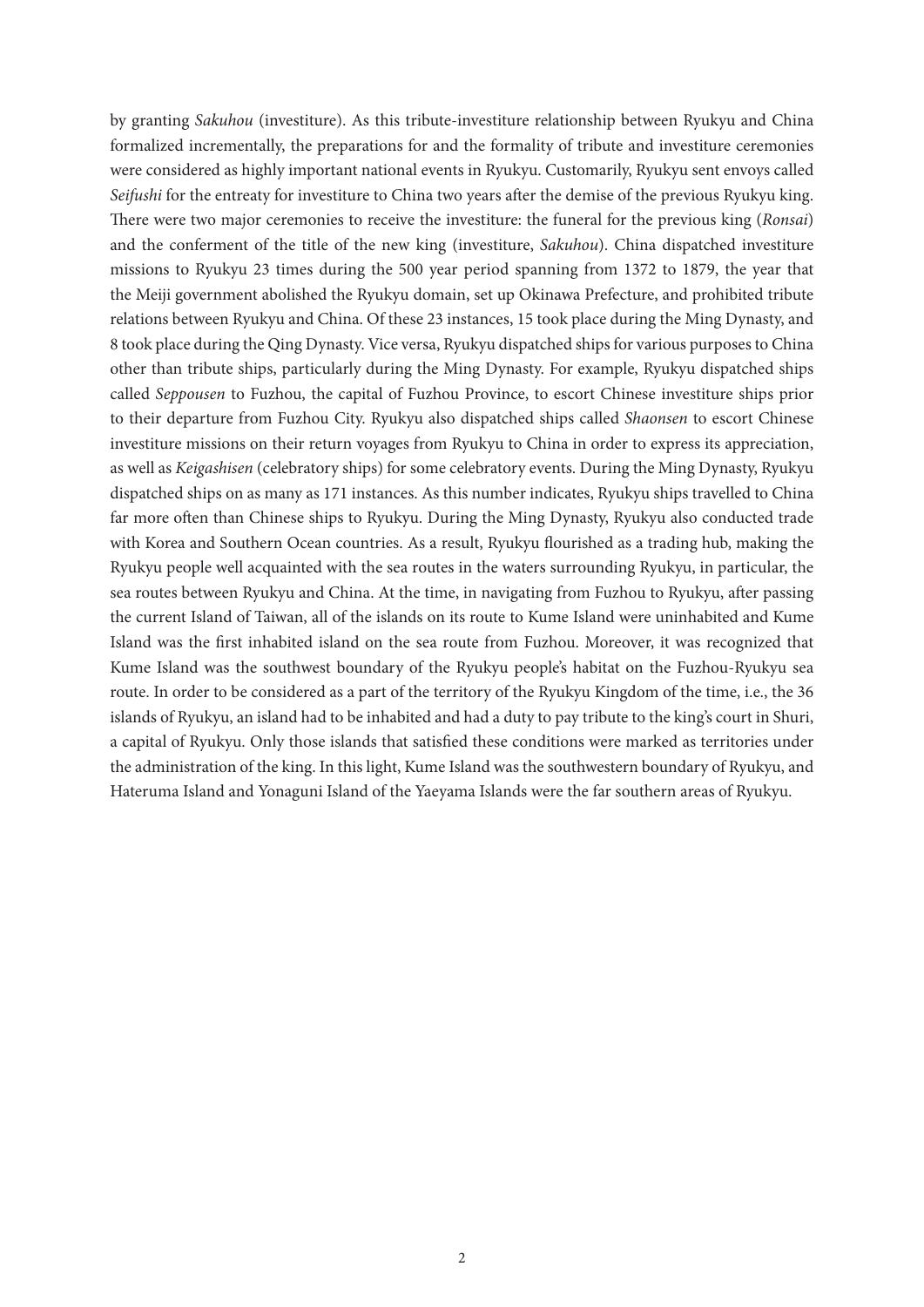by granting *Sakuhou* (investiture). As this tribute-investiture relationship between Ryukyu and China formalized incrementally, the preparations for and the formality of tribute and investiture ceremonies were considered as highly important national events in Ryukyu. Customarily, Ryukyu sent envoys called *Seifushi* for the entreaty for investiture to China two years after the demise of the previous Ryukyu king. There were two major ceremonies to receive the investiture: the funeral for the previous king (*Ronsai*) and the conferment of the title of the new king (investiture, *Sakuhou*). China dispatched investiture missions to Ryukyu 23 times during the 500 year period spanning from 1372 to 1879, the year that the Meiji government abolished the Ryukyu domain, set up Okinawa Prefecture, and prohibited tribute relations between Ryukyu and China. Of these 23 instances, 15 took place during the Ming Dynasty, and 8 took place during the Qing Dynasty. Vice versa, Ryukyu dispatched ships for various purposes to China other than tribute ships, particularly during the Ming Dynasty. For example, Ryukyu dispatched ships called *Seppousen* to Fuzhou, the capital of Fuzhou Province, to escort Chinese investiture ships prior to their departure from Fuzhou City. Ryukyu also dispatched ships called *Shaonsen* to escort Chinese investiture missions on their return voyages from Ryukyu to China in order to express its appreciation, as well as *Keigashisen* (celebratory ships) for some celebratory events. During the Ming Dynasty, Ryukyu dispatched ships on as many as 171 instances. As this number indicates, Ryukyu ships travelled to China far more often than Chinese ships to Ryukyu. During the Ming Dynasty, Ryukyu also conducted trade with Korea and Southern Ocean countries. As a result, Ryukyu flourished as a trading hub, making the Ryukyu people well acquainted with the sea routes in the waters surrounding Ryukyu, in particular, the sea routes between Ryukyu and China. At the time, in navigating from Fuzhou to Ryukyu, after passing the current Island of Taiwan, all of the islands on its route to Kume Island were uninhabited and Kume Island was the first inhabited island on the sea route from Fuzhou. Moreover, it was recognized that Kume Island was the southwest boundary of the Ryukyu people's habitat on the Fuzhou-Ryukyu sea route. In order to be considered as a part of the territory of the Ryukyu Kingdom of the time, i.e., the 36 islands of Ryukyu, an island had to be inhabited and had a duty to pay tribute to the king's court in Shuri, a capital of Ryukyu. Only those islands that satisfied these conditions were marked as territories under the administration of the king. In this light, Kume Island was the southwestern boundary of Ryukyu, and Hateruma Island and Yonaguni Island of the Yaeyama Islands were the far southern areas of Ryukyu.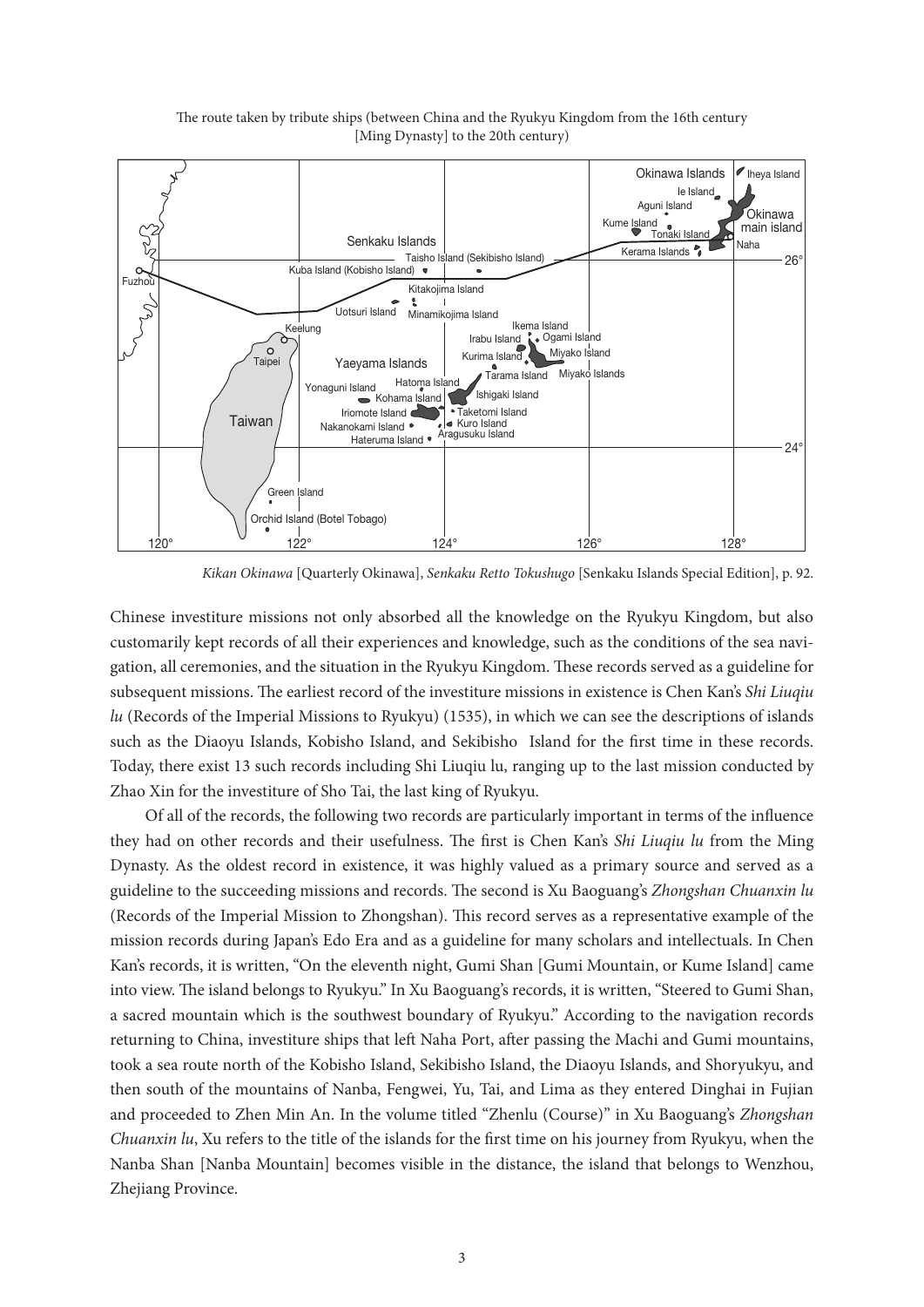

The route taken by tribute ships (between China and the Ryukyu Kingdom from the 16th century [Ming Dynasty] to the 20th century)

*Kikan Okinawa* [Quarterly Okinawa], *Senkaku Retto Tokushugo* [Senkaku Islands Special Edition], p. 92.

Chinese investiture missions not only absorbed all the knowledge on the Ryukyu Kingdom, but also customarily kept records of all their experiences and knowledge, such as the conditions of the sea navigation, all ceremonies, and the situation in the Ryukyu Kingdom. These records served as a guideline for subsequent missions. The earliest record of the investiture missions in existence is Chen Kan's *Shi Liuqiu lu* (Records of the Imperial Missions to Ryukyu) (1535), in which we can see the descriptions of islands such as the Diaoyu Islands, Kobisho Island, and Sekibisho Island for the first time in these records. Today, there exist 13 such records including Shi Liuqiu lu, ranging up to the last mission conducted by Zhao Xin for the investiture of Sho Tai, the last king of Ryukyu.

Of all of the records, the following two records are particularly important in terms of the influence they had on other records and their usefulness. The first is Chen Kan's *Shi Liuqiu lu* from the Ming Dynasty. As the oldest record in existence, it was highly valued as a primary source and served as a guideline to the succeeding missions and records. The second is Xu Baoguang's *Zhongshan Chuanxin lu* (Records of the Imperial Mission to Zhongshan). This record serves as a representative example of the mission records during Japan's Edo Era and as a guideline for many scholars and intellectuals. In Chen Kan's records, it is written, "On the eleventh night, Gumi Shan [Gumi Mountain, or Kume Island] came into view. The island belongs to Ryukyu." In Xu Baoguang's records, it is written, "Steered to Gumi Shan, a sacred mountain which is the southwest boundary of Ryukyu." According to the navigation records returning to China, investiture ships that left Naha Port, after passing the Machi and Gumi mountains, took a sea route north of the Kobisho Island, Sekibisho Island, the Diaoyu Islands, and Shoryukyu, and then south of the mountains of Nanba, Fengwei, Yu, Tai, and Lima as they entered Dinghai in Fujian and proceeded to Zhen Min An. In the volume titled "Zhenlu (Course)" in Xu Baoguang's *Zhongshan Chuanxin lu*, Xu refers to the title of the islands for the first time on his journey from Ryukyu, when the Nanba Shan [Nanba Mountain] becomes visible in the distance, the island that belongs to Wenzhou, Zhejiang Province.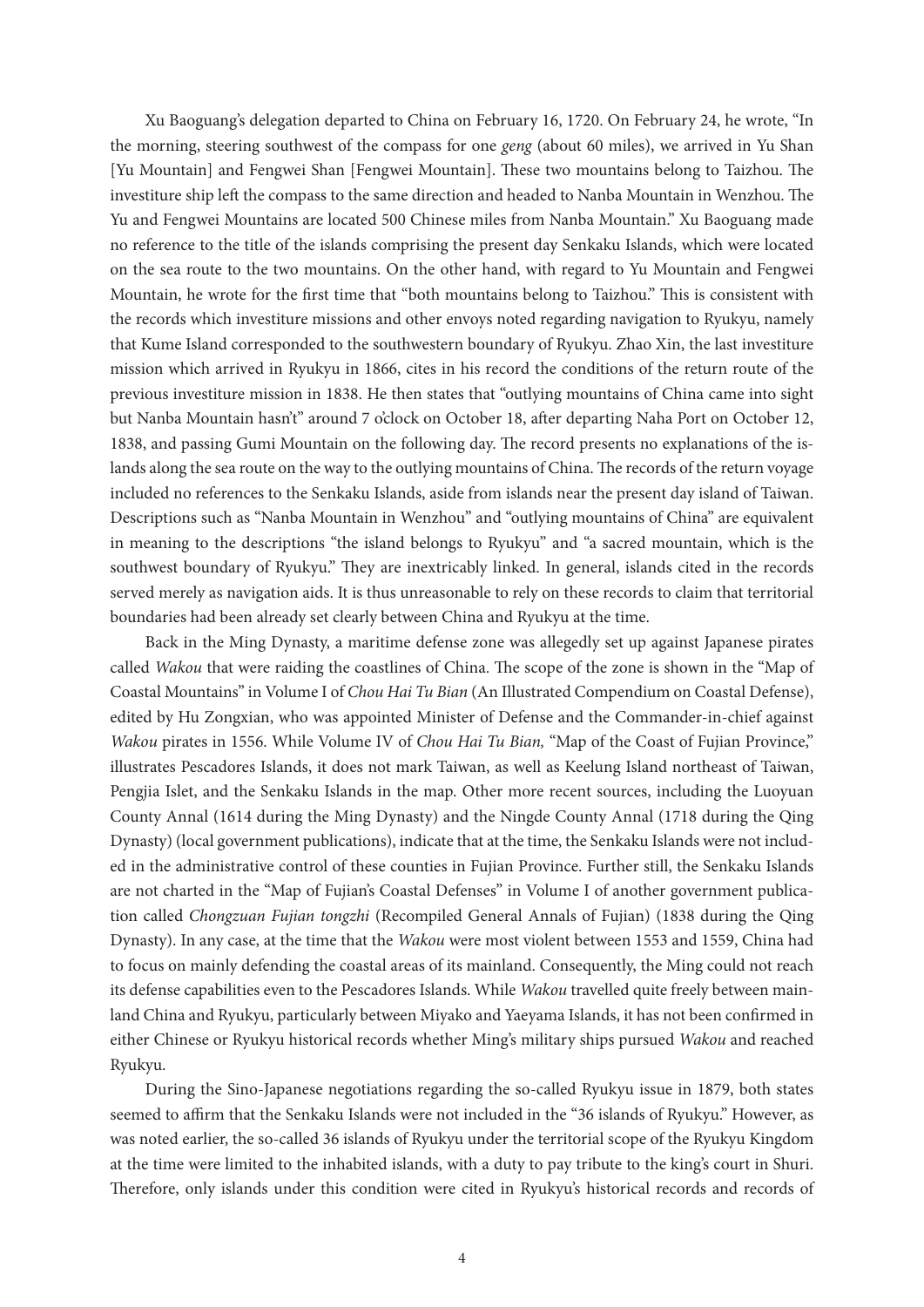Xu Baoguang's delegation departed to China on February 16, 1720. On February 24, he wrote, "In the morning, steering southwest of the compass for one *geng* (about 60 miles), we arrived in Yu Shan [Yu Mountain] and Fengwei Shan [Fengwei Mountain]. These two mountains belong to Taizhou. The investiture ship left the compass to the same direction and headed to Nanba Mountain in Wenzhou. The Yu and Fengwei Mountains are located 500 Chinese miles from Nanba Mountain." Xu Baoguang made no reference to the title of the islands comprising the present day Senkaku Islands, which were located on the sea route to the two mountains. On the other hand, with regard to Yu Mountain and Fengwei Mountain, he wrote for the first time that "both mountains belong to Taizhou." This is consistent with the records which investiture missions and other envoys noted regarding navigation to Ryukyu, namely that Kume Island corresponded to the southwestern boundary of Ryukyu. Zhao Xin, the last investiture mission which arrived in Ryukyu in 1866, cites in his record the conditions of the return route of the previous investiture mission in 1838. He then states that "outlying mountains of China came into sight but Nanba Mountain hasn't" around 7 o'clock on October 18, after departing Naha Port on October 12, 1838, and passing Gumi Mountain on the following day. The record presents no explanations of the islands along the sea route on the way to the outlying mountains of China. The records of the return voyage included no references to the Senkaku Islands, aside from islands near the present day island of Taiwan. Descriptions such as "Nanba Mountain in Wenzhou" and "outlying mountains of China" are equivalent in meaning to the descriptions "the island belongs to Ryukyu" and "a sacred mountain, which is the southwest boundary of Ryukyu." They are inextricably linked. In general, islands cited in the records served merely as navigation aids. It is thus unreasonable to rely on these records to claim that territorial boundaries had been already set clearly between China and Ryukyu at the time.

Back in the Ming Dynasty, a maritime defense zone was allegedly set up against Japanese pirates called *Wakou* that were raiding the coastlines of China. The scope of the zone is shown in the "Map of Coastal Mountains" in Volume I of *Chou Hai Tu Bian* (An Illustrated Compendium on Coastal Defense), edited by Hu Zongxian, who was appointed Minister of Defense and the Commander-in-chief against *Wakou* pirates in 1556. While Volume IV of *Chou Hai Tu Bian,* "Map of the Coast of Fujian Province," illustrates Pescadores Islands, it does not mark Taiwan, as well as Keelung Island northeast of Taiwan, Pengjia Islet, and the Senkaku Islands in the map. Other more recent sources, including the Luoyuan County Annal (1614 during the Ming Dynasty) and the Ningde County Annal (1718 during the Qing Dynasty) (local government publications), indicate that at the time, the Senkaku Islands were not included in the administrative control of these counties in Fujian Province. Further still, the Senkaku Islands are not charted in the "Map of Fujian's Coastal Defenses" in Volume I of another government publication called *Chongzuan Fujian tongzhi* (Recompiled General Annals of Fujian) (1838 during the Qing Dynasty). In any case, at the time that the *Wakou* were most violent between 1553 and 1559, China had to focus on mainly defending the coastal areas of its mainland. Consequently, the Ming could not reach its defense capabilities even to the Pescadores Islands. While *Wakou* travelled quite freely between mainland China and Ryukyu, particularly between Miyako and Yaeyama Islands, it has not been confirmed in either Chinese or Ryukyu historical records whether Ming's military ships pursued *Wakou* and reached Ryukyu.

During the Sino-Japanese negotiations regarding the so-called Ryukyu issue in 1879, both states seemed to affirm that the Senkaku Islands were not included in the "36 islands of Ryukyu." However, as was noted earlier, the so-called 36 islands of Ryukyu under the territorial scope of the Ryukyu Kingdom at the time were limited to the inhabited islands, with a duty to pay tribute to the king's court in Shuri. Therefore, only islands under this condition were cited in Ryukyu's historical records and records of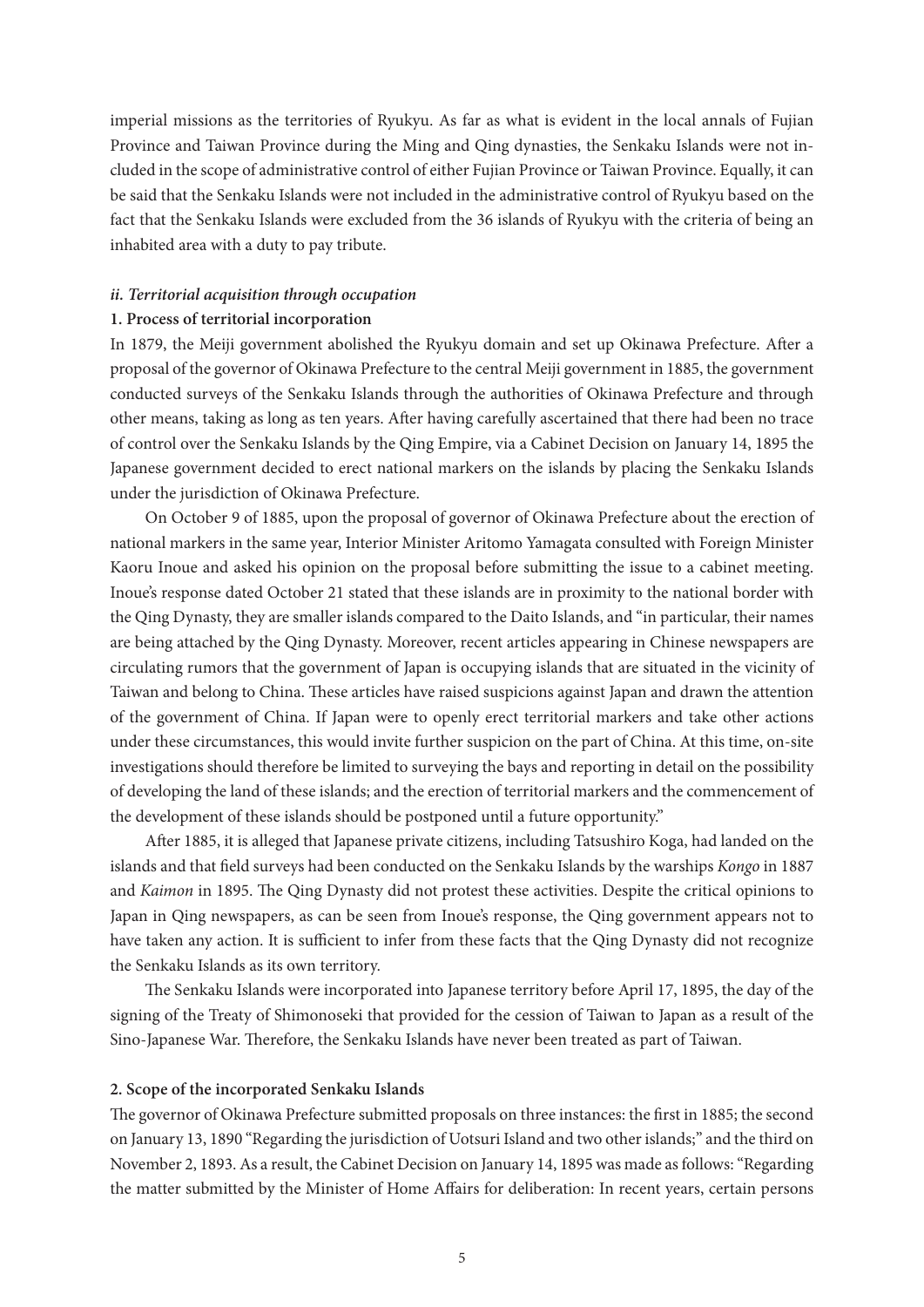imperial missions as the territories of Ryukyu. As far as what is evident in the local annals of Fujian Province and Taiwan Province during the Ming and Qing dynasties, the Senkaku Islands were not included in the scope of administrative control of either Fujian Province or Taiwan Province. Equally, it can be said that the Senkaku Islands were not included in the administrative control of Ryukyu based on the fact that the Senkaku Islands were excluded from the 36 islands of Ryukyu with the criteria of being an inhabited area with a duty to pay tribute.

#### *ii. Territorial acquisition through occupation*

# **1. Process of territorial incorporation**

In 1879, the Meiji government abolished the Ryukyu domain and set up Okinawa Prefecture. After a proposal of the governor of Okinawa Prefecture to the central Meiji government in 1885, the government conducted surveys of the Senkaku Islands through the authorities of Okinawa Prefecture and through other means, taking as long as ten years. After having carefully ascertained that there had been no trace of control over the Senkaku Islands by the Qing Empire, via a Cabinet Decision on January 14, 1895 the Japanese government decided to erect national markers on the islands by placing the Senkaku Islands under the jurisdiction of Okinawa Prefecture.

On October 9 of 1885, upon the proposal of governor of Okinawa Prefecture about the erection of national markers in the same year, Interior Minister Aritomo Yamagata consulted with Foreign Minister Kaoru Inoue and asked his opinion on the proposal before submitting the issue to a cabinet meeting. Inoue's response dated October 21 stated that these islands are in proximity to the national border with the Qing Dynasty, they are smaller islands compared to the Daito Islands, and "in particular, their names are being attached by the Qing Dynasty. Moreover, recent articles appearing in Chinese newspapers are circulating rumors that the government of Japan is occupying islands that are situated in the vicinity of Taiwan and belong to China. These articles have raised suspicions against Japan and drawn the attention of the government of China. If Japan were to openly erect territorial markers and take other actions under these circumstances, this would invite further suspicion on the part of China. At this time, on-site investigations should therefore be limited to surveying the bays and reporting in detail on the possibility of developing the land of these islands; and the erection of territorial markers and the commencement of the development of these islands should be postponed until a future opportunity."

After 1885, it is alleged that Japanese private citizens, including Tatsushiro Koga, had landed on the islands and that field surveys had been conducted on the Senkaku Islands by the warships *Kongo* in 1887 and *Kaimon* in 1895. The Qing Dynasty did not protest these activities. Despite the critical opinions to Japan in Qing newspapers, as can be seen from Inoue's response, the Qing government appears not to have taken any action. It is sufficient to infer from these facts that the Qing Dynasty did not recognize the Senkaku Islands as its own territory.

The Senkaku Islands were incorporated into Japanese territory before April 17, 1895, the day of the signing of the Treaty of Shimonoseki that provided for the cession of Taiwan to Japan as a result of the Sino-Japanese War. Therefore, the Senkaku Islands have never been treated as part of Taiwan.

#### **2. Scope of the incorporated Senkaku Islands**

The governor of Okinawa Prefecture submitted proposals on three instances: the first in 1885; the second on January 13, 1890 "Regarding the jurisdiction of Uotsuri Island and two other islands;" and the third on November 2, 1893. As a result, the Cabinet Decision on January 14, 1895 was made as follows: "Regarding the matter submitted by the Minister of Home Affairs for deliberation: In recent years, certain persons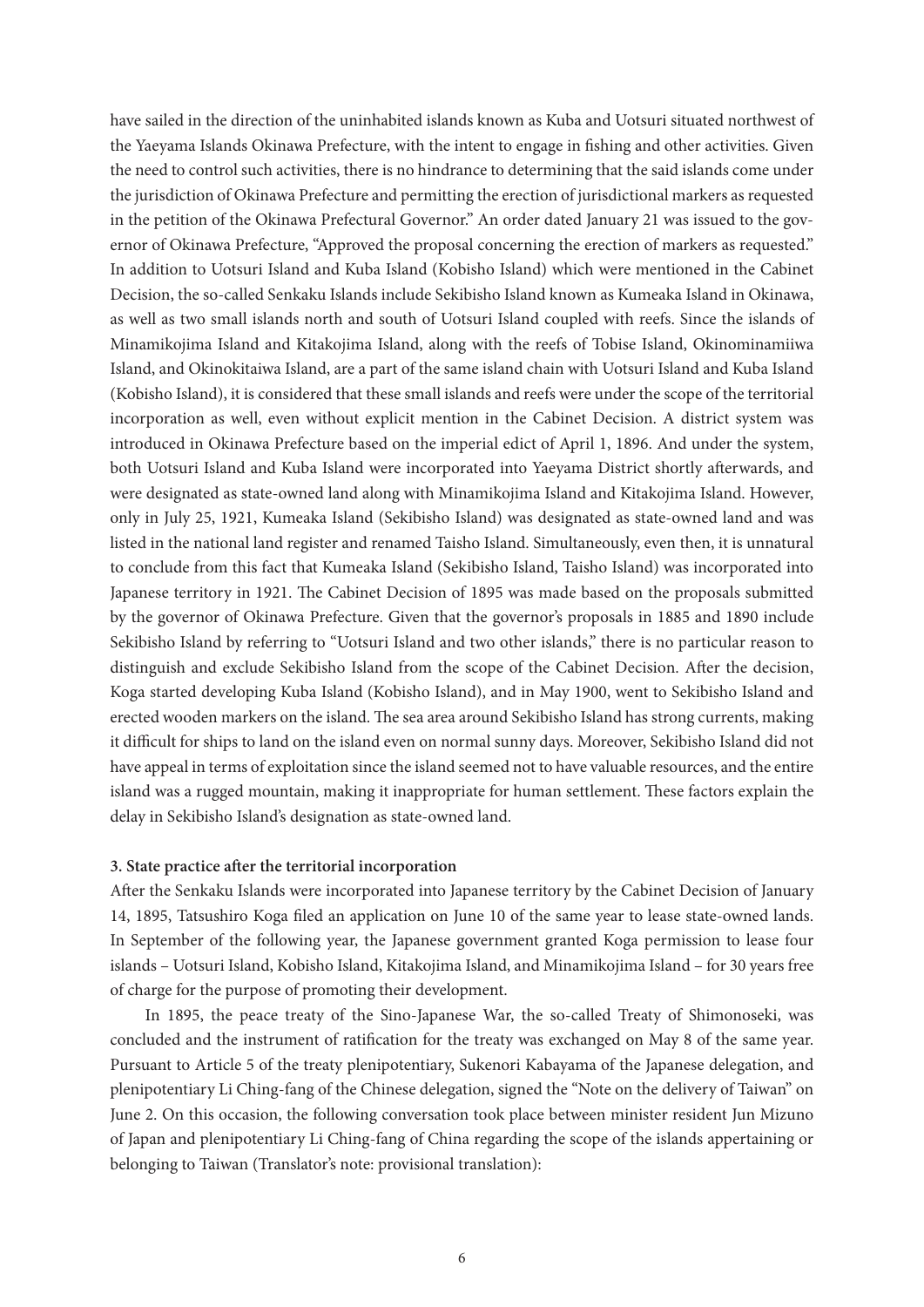have sailed in the direction of the uninhabited islands known as Kuba and Uotsuri situated northwest of the Yaeyama Islands Okinawa Prefecture, with the intent to engage in fishing and other activities. Given the need to control such activities, there is no hindrance to determining that the said islands come under the jurisdiction of Okinawa Prefecture and permitting the erection of jurisdictional markers as requested in the petition of the Okinawa Prefectural Governor." An order dated January 21 was issued to the governor of Okinawa Prefecture, "Approved the proposal concerning the erection of markers as requested." In addition to Uotsuri Island and Kuba Island (Kobisho Island) which were mentioned in the Cabinet Decision, the so-called Senkaku Islands include Sekibisho Island known as Kumeaka Island in Okinawa, as well as two small islands north and south of Uotsuri Island coupled with reefs. Since the islands of Minamikojima Island and Kitakojima Island, along with the reefs of Tobise Island, Okinominamiiwa Island, and Okinokitaiwa Island, are a part of the same island chain with Uotsuri Island and Kuba Island (Kobisho Island), it is considered that these small islands and reefs were under the scope of the territorial incorporation as well, even without explicit mention in the Cabinet Decision. A district system was introduced in Okinawa Prefecture based on the imperial edict of April 1, 1896. And under the system, both Uotsuri Island and Kuba Island were incorporated into Yaeyama District shortly afterwards, and were designated as state-owned land along with Minamikojima Island and Kitakojima Island. However, only in July 25, 1921, Kumeaka Island (Sekibisho Island) was designated as state-owned land and was listed in the national land register and renamed Taisho Island. Simultaneously, even then, it is unnatural to conclude from this fact that Kumeaka Island (Sekibisho Island, Taisho Island) was incorporated into Japanese territory in 1921. The Cabinet Decision of 1895 was made based on the proposals submitted by the governor of Okinawa Prefecture. Given that the governor's proposals in 1885 and 1890 include Sekibisho Island by referring to "Uotsuri Island and two other islands," there is no particular reason to distinguish and exclude Sekibisho Island from the scope of the Cabinet Decision. After the decision, Koga started developing Kuba Island (Kobisho Island), and in May 1900, went to Sekibisho Island and erected wooden markers on the island. The sea area around Sekibisho Island has strong currents, making it difficult for ships to land on the island even on normal sunny days. Moreover, Sekibisho Island did not have appeal in terms of exploitation since the island seemed not to have valuable resources, and the entire island was a rugged mountain, making it inappropriate for human settlement. These factors explain the delay in Sekibisho Island's designation as state-owned land.

#### **3. State practice after the territorial incorporation**

After the Senkaku Islands were incorporated into Japanese territory by the Cabinet Decision of January 14, 1895, Tatsushiro Koga filed an application on June 10 of the same year to lease state-owned lands. In September of the following year, the Japanese government granted Koga permission to lease four islands – Uotsuri Island, Kobisho Island, Kitakojima Island, and Minamikojima Island – for 30 years free of charge for the purpose of promoting their development.

In 1895, the peace treaty of the Sino-Japanese War, the so-called Treaty of Shimonoseki, was concluded and the instrument of ratification for the treaty was exchanged on May 8 of the same year. Pursuant to Article 5 of the treaty plenipotentiary, Sukenori Kabayama of the Japanese delegation, and plenipotentiary Li Ching-fang of the Chinese delegation, signed the "Note on the delivery of Taiwan" on June 2. On this occasion, the following conversation took place between minister resident Jun Mizuno of Japan and plenipotentiary Li Ching-fang of China regarding the scope of the islands appertaining or belonging to Taiwan (Translator's note: provisional translation):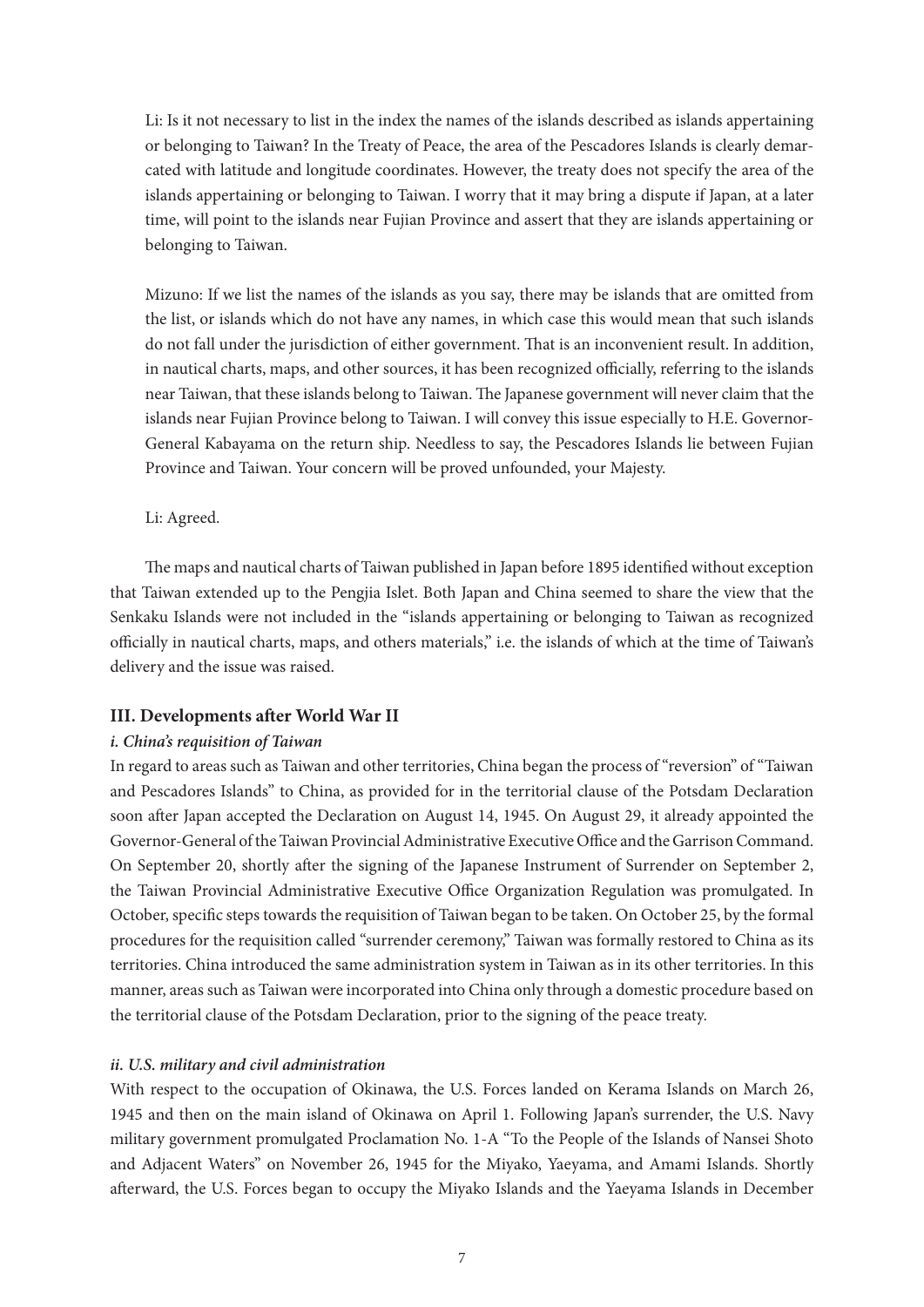Li: Is it not necessary to list in the index the names of the islands described as islands appertaining or belonging to Taiwan? In the Treaty of Peace, the area of the Pescadores Islands is clearly demarcated with latitude and longitude coordinates. However, the treaty does not specify the area of the islands appertaining or belonging to Taiwan. I worry that it may bring a dispute if Japan, at a later time, will point to the islands near Fujian Province and assert that they are islands appertaining or belonging to Taiwan.

Mizuno: If we list the names of the islands as you say, there may be islands that are omitted from the list, or islands which do not have any names, in which case this would mean that such islands do not fall under the jurisdiction of either government. That is an inconvenient result. In addition, in nautical charts, maps, and other sources, it has been recognized officially, referring to the islands near Taiwan, that these islands belong to Taiwan. The Japanese government will never claim that the islands near Fujian Province belong to Taiwan. I will convey this issue especially to H.E. Governor-General Kabayama on the return ship. Needless to say, the Pescadores Islands lie between Fujian Province and Taiwan. Your concern will be proved unfounded, your Majesty.

# Li: Agreed.

The maps and nautical charts of Taiwan published in Japan before 1895 identified without exception that Taiwan extended up to the Pengjia Islet. Both Japan and China seemed to share the view that the Senkaku Islands were not included in the "islands appertaining or belonging to Taiwan as recognized officially in nautical charts, maps, and others materials," i.e. the islands of which at the time of Taiwan's delivery and the issue was raised.

# **III. Developments after World War II**

# *i. China's requisition of Taiwan*

In regard to areas such as Taiwan and other territories, China began the process of "reversion" of "Taiwan and Pescadores Islands" to China, as provided for in the territorial clause of the Potsdam Declaration soon after Japan accepted the Declaration on August 14, 1945. On August 29, it already appointed the Governor-General of the Taiwan Provincial Administrative Executive Office and the Garrison Command. On September 20, shortly after the signing of the Japanese Instrument of Surrender on September 2, the Taiwan Provincial Administrative Executive Office Organization Regulation was promulgated. In October, specific steps towards the requisition of Taiwan began to be taken. On October 25, by the formal procedures for the requisition called "surrender ceremony," Taiwan was formally restored to China as its territories. China introduced the same administration system in Taiwan as in its other territories. In this manner, areas such as Taiwan were incorporated into China only through a domestic procedure based on the territorial clause of the Potsdam Declaration, prior to the signing of the peace treaty.

# *ii. U.S. military and civil administration*

With respect to the occupation of Okinawa, the U.S. Forces landed on Kerama Islands on March 26, 1945 and then on the main island of Okinawa on April 1. Following Japan's surrender, the U.S. Navy military government promulgated Proclamation No. 1-A "To the People of the Islands of Nansei Shoto and Adjacent Waters" on November 26, 1945 for the Miyako, Yaeyama, and Amami Islands. Shortly afterward, the U.S. Forces began to occupy the Miyako Islands and the Yaeyama Islands in December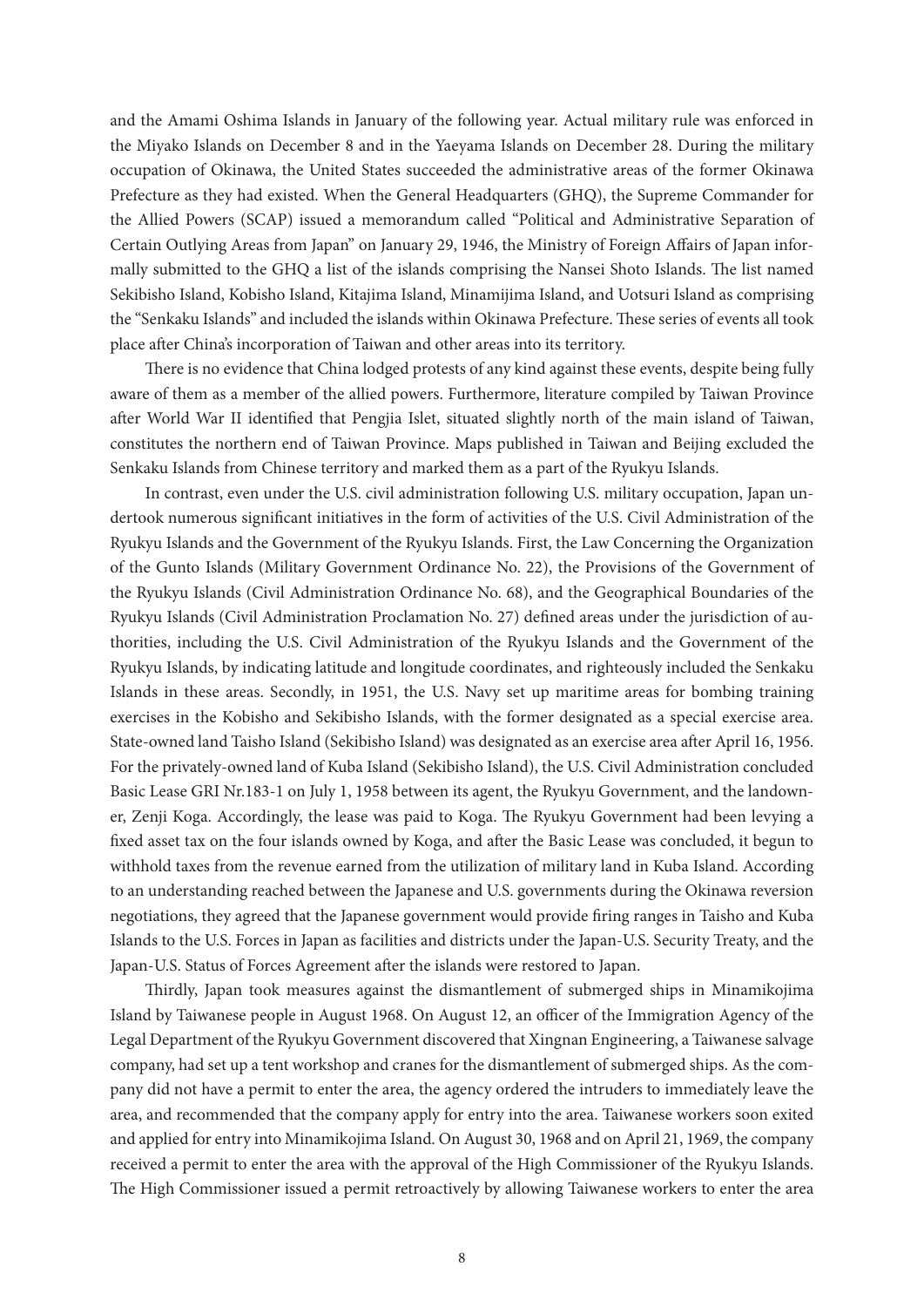and the Amami Oshima Islands in January of the following year. Actual military rule was enforced in the Miyako Islands on December 8 and in the Yaeyama Islands on December 28. During the military occupation of Okinawa, the United States succeeded the administrative areas of the former Okinawa Prefecture as they had existed. When the General Headquarters (GHQ), the Supreme Commander for the Allied Powers (SCAP) issued a memorandum called "Political and Administrative Separation of Certain Outlying Areas from Japan" on January 29, 1946, the Ministry of Foreign Affairs of Japan informally submitted to the GHQ a list of the islands comprising the Nansei Shoto Islands. The list named Sekibisho Island, Kobisho Island, Kitajima Island, Minamijima Island, and Uotsuri Island as comprising the "Senkaku Islands" and included the islands within Okinawa Prefecture. These series of events all took place after China's incorporation of Taiwan and other areas into its territory.

There is no evidence that China lodged protests of any kind against these events, despite being fully aware of them as a member of the allied powers. Furthermore, literature compiled by Taiwan Province after World War II identified that Pengjia Islet, situated slightly north of the main island of Taiwan, constitutes the northern end of Taiwan Province. Maps published in Taiwan and Beijing excluded the Senkaku Islands from Chinese territory and marked them as a part of the Ryukyu Islands.

In contrast, even under the U.S. civil administration following U.S. military occupation, Japan undertook numerous significant initiatives in the form of activities of the U.S. Civil Administration of the Ryukyu Islands and the Government of the Ryukyu Islands. First, the Law Concerning the Organization of the Gunto Islands (Military Government Ordinance No. 22), the Provisions of the Government of the Ryukyu Islands (Civil Administration Ordinance No. 68), and the Geographical Boundaries of the Ryukyu Islands (Civil Administration Proclamation No. 27) defined areas under the jurisdiction of authorities, including the U.S. Civil Administration of the Ryukyu Islands and the Government of the Ryukyu Islands, by indicating latitude and longitude coordinates, and righteously included the Senkaku Islands in these areas. Secondly, in 1951, the U.S. Navy set up maritime areas for bombing training exercises in the Kobisho and Sekibisho Islands, with the former designated as a special exercise area. State-owned land Taisho Island (Sekibisho Island) was designated as an exercise area after April 16, 1956. For the privately-owned land of Kuba Island (Sekibisho Island), the U.S. Civil Administration concluded Basic Lease GRI Nr.183-1 on July 1, 1958 between its agent, the Ryukyu Government, and the landowner, Zenji Koga. Accordingly, the lease was paid to Koga. The Ryukyu Government had been levying a fixed asset tax on the four islands owned by Koga, and after the Basic Lease was concluded, it begun to withhold taxes from the revenue earned from the utilization of military land in Kuba Island. According to an understanding reached between the Japanese and U.S. governments during the Okinawa reversion negotiations, they agreed that the Japanese government would provide firing ranges in Taisho and Kuba Islands to the U.S. Forces in Japan as facilities and districts under the Japan-U.S. Security Treaty, and the Japan-U.S. Status of Forces Agreement after the islands were restored to Japan.

Thirdly, Japan took measures against the dismantlement of submerged ships in Minamikojima Island by Taiwanese people in August 1968. On August 12, an officer of the Immigration Agency of the Legal Department of the Ryukyu Government discovered that Xingnan Engineering, a Taiwanese salvage company, had set up a tent workshop and cranes for the dismantlement of submerged ships. As the company did not have a permit to enter the area, the agency ordered the intruders to immediately leave the area, and recommended that the company apply for entry into the area. Taiwanese workers soon exited and applied for entry into Minamikojima Island. On August 30, 1968 and on April 21, 1969, the company received a permit to enter the area with the approval of the High Commissioner of the Ryukyu Islands. The High Commissioner issued a permit retroactively by allowing Taiwanese workers to enter the area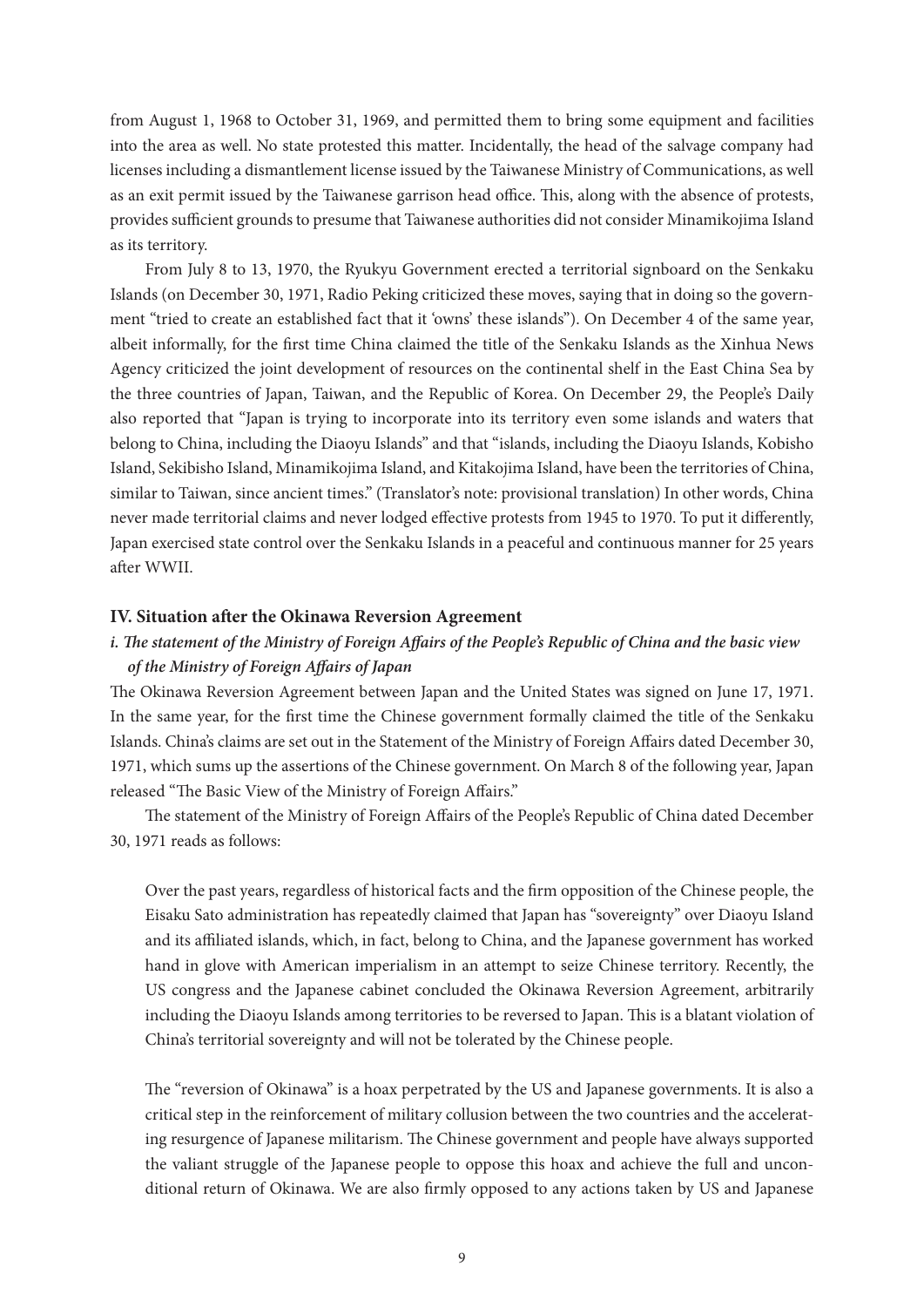from August 1, 1968 to October 31, 1969, and permitted them to bring some equipment and facilities into the area as well. No state protested this matter. Incidentally, the head of the salvage company had licenses including a dismantlement license issued by the Taiwanese Ministry of Communications, as well as an exit permit issued by the Taiwanese garrison head office. This, along with the absence of protests, provides sufficient grounds to presume that Taiwanese authorities did not consider Minamikojima Island as its territory.

From July 8 to 13, 1970, the Ryukyu Government erected a territorial signboard on the Senkaku Islands (on December 30, 1971, Radio Peking criticized these moves, saying that in doing so the government "tried to create an established fact that it 'owns' these islands"). On December 4 of the same year, albeit informally, for the first time China claimed the title of the Senkaku Islands as the Xinhua News Agency criticized the joint development of resources on the continental shelf in the East China Sea by the three countries of Japan, Taiwan, and the Republic of Korea. On December 29, the People's Daily also reported that "Japan is trying to incorporate into its territory even some islands and waters that belong to China, including the Diaoyu Islands" and that "islands, including the Diaoyu Islands, Kobisho Island, Sekibisho Island, Minamikojima Island, and Kitakojima Island, have been the territories of China, similar to Taiwan, since ancient times." (Translator's note: provisional translation) In other words, China never made territorial claims and never lodged effective protests from 1945 to 1970. To put it differently, Japan exercised state control over the Senkaku Islands in a peaceful and continuous manner for 25 years after WWII.

#### **IV. Situation after the Okinawa Reversion Agreement**

# *i. The statement of the Ministry of Foreign Affairs of the People's Republic of China and the basic view of the Ministry of Foreign Affairs of Japan*

The Okinawa Reversion Agreement between Japan and the United States was signed on June 17, 1971. In the same year, for the first time the Chinese government formally claimed the title of the Senkaku Islands. China's claims are set out in the Statement of the Ministry of Foreign Affairs dated December 30, 1971, which sums up the assertions of the Chinese government. On March 8 of the following year, Japan released "The Basic View of the Ministry of Foreign Affairs."

The statement of the Ministry of Foreign Affairs of the People's Republic of China dated December 30, 1971 reads as follows:

Over the past years, regardless of historical facts and the firm opposition of the Chinese people, the Eisaku Sato administration has repeatedly claimed that Japan has "sovereignty" over Diaoyu Island and its affiliated islands, which, in fact, belong to China, and the Japanese government has worked hand in glove with American imperialism in an attempt to seize Chinese territory. Recently, the US congress and the Japanese cabinet concluded the Okinawa Reversion Agreement, arbitrarily including the Diaoyu Islands among territories to be reversed to Japan. This is a blatant violation of China's territorial sovereignty and will not be tolerated by the Chinese people.

The "reversion of Okinawa" is a hoax perpetrated by the US and Japanese governments. It is also a critical step in the reinforcement of military collusion between the two countries and the accelerating resurgence of Japanese militarism. The Chinese government and people have always supported the valiant struggle of the Japanese people to oppose this hoax and achieve the full and unconditional return of Okinawa. We are also firmly opposed to any actions taken by US and Japanese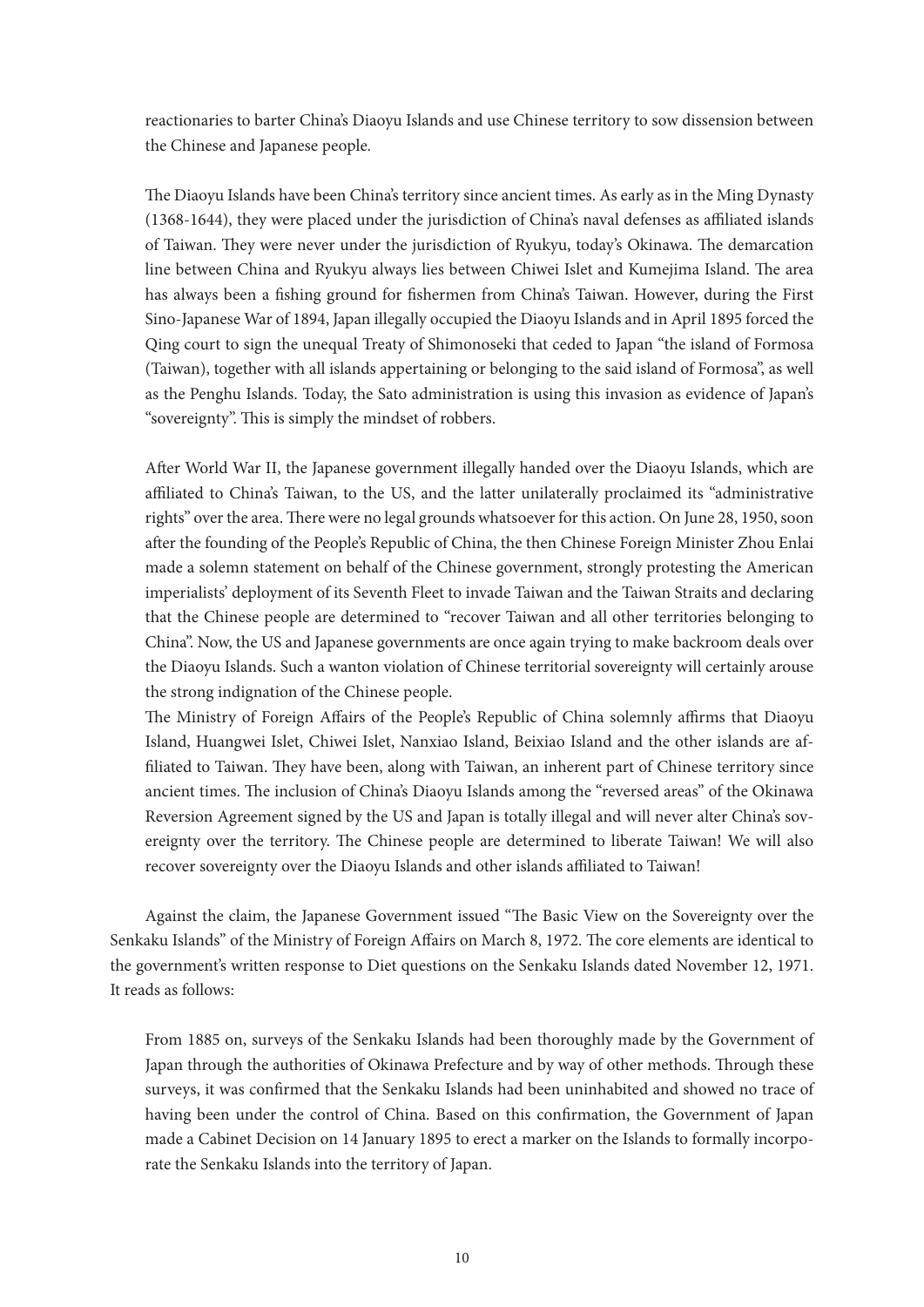reactionaries to barter China's Diaoyu Islands and use Chinese territory to sow dissension between the Chinese and Japanese people.

The Diaoyu Islands have been China's territory since ancient times. As early as in the Ming Dynasty (1368-1644), they were placed under the jurisdiction of China's naval defenses as affiliated islands of Taiwan. They were never under the jurisdiction of Ryukyu, today's Okinawa. The demarcation line between China and Ryukyu always lies between Chiwei Islet and Kumejima Island. The area has always been a fishing ground for fishermen from China's Taiwan. However, during the First Sino-Japanese War of 1894, Japan illegally occupied the Diaoyu Islands and in April 1895 forced the Qing court to sign the unequal Treaty of Shimonoseki that ceded to Japan "the island of Formosa (Taiwan), together with all islands appertaining or belonging to the said island of Formosa", as well as the Penghu Islands. Today, the Sato administration is using this invasion as evidence of Japan's "sovereignty". This is simply the mindset of robbers.

After World War II, the Japanese government illegally handed over the Diaoyu Islands, which are affiliated to China's Taiwan, to the US, and the latter unilaterally proclaimed its "administrative rights" over the area. There were no legal grounds whatsoever for this action. On June 28, 1950, soon after the founding of the People's Republic of China, the then Chinese Foreign Minister Zhou Enlai made a solemn statement on behalf of the Chinese government, strongly protesting the American imperialists' deployment of its Seventh Fleet to invade Taiwan and the Taiwan Straits and declaring that the Chinese people are determined to "recover Taiwan and all other territories belonging to China". Now, the US and Japanese governments are once again trying to make backroom deals over the Diaoyu Islands. Such a wanton violation of Chinese territorial sovereignty will certainly arouse the strong indignation of the Chinese people.

The Ministry of Foreign Affairs of the People's Republic of China solemnly affirms that Diaoyu Island, Huangwei Islet, Chiwei Islet, Nanxiao Island, Beixiao Island and the other islands are affiliated to Taiwan. They have been, along with Taiwan, an inherent part of Chinese territory since ancient times. The inclusion of China's Diaoyu Islands among the "reversed areas" of the Okinawa Reversion Agreement signed by the US and Japan is totally illegal and will never alter China's sovereignty over the territory. The Chinese people are determined to liberate Taiwan! We will also recover sovereignty over the Diaoyu Islands and other islands affiliated to Taiwan!

Against the claim, the Japanese Government issued "The Basic View on the Sovereignty over the Senkaku Islands" of the Ministry of Foreign Affairs on March 8, 1972. The core elements are identical to the government's written response to Diet questions on the Senkaku Islands dated November 12, 1971. It reads as follows:

From 1885 on, surveys of the Senkaku Islands had been thoroughly made by the Government of Japan through the authorities of Okinawa Prefecture and by way of other methods. Through these surveys, it was confirmed that the Senkaku Islands had been uninhabited and showed no trace of having been under the control of China. Based on this confirmation, the Government of Japan made a Cabinet Decision on 14 January 1895 to erect a marker on the Islands to formally incorporate the Senkaku Islands into the territory of Japan.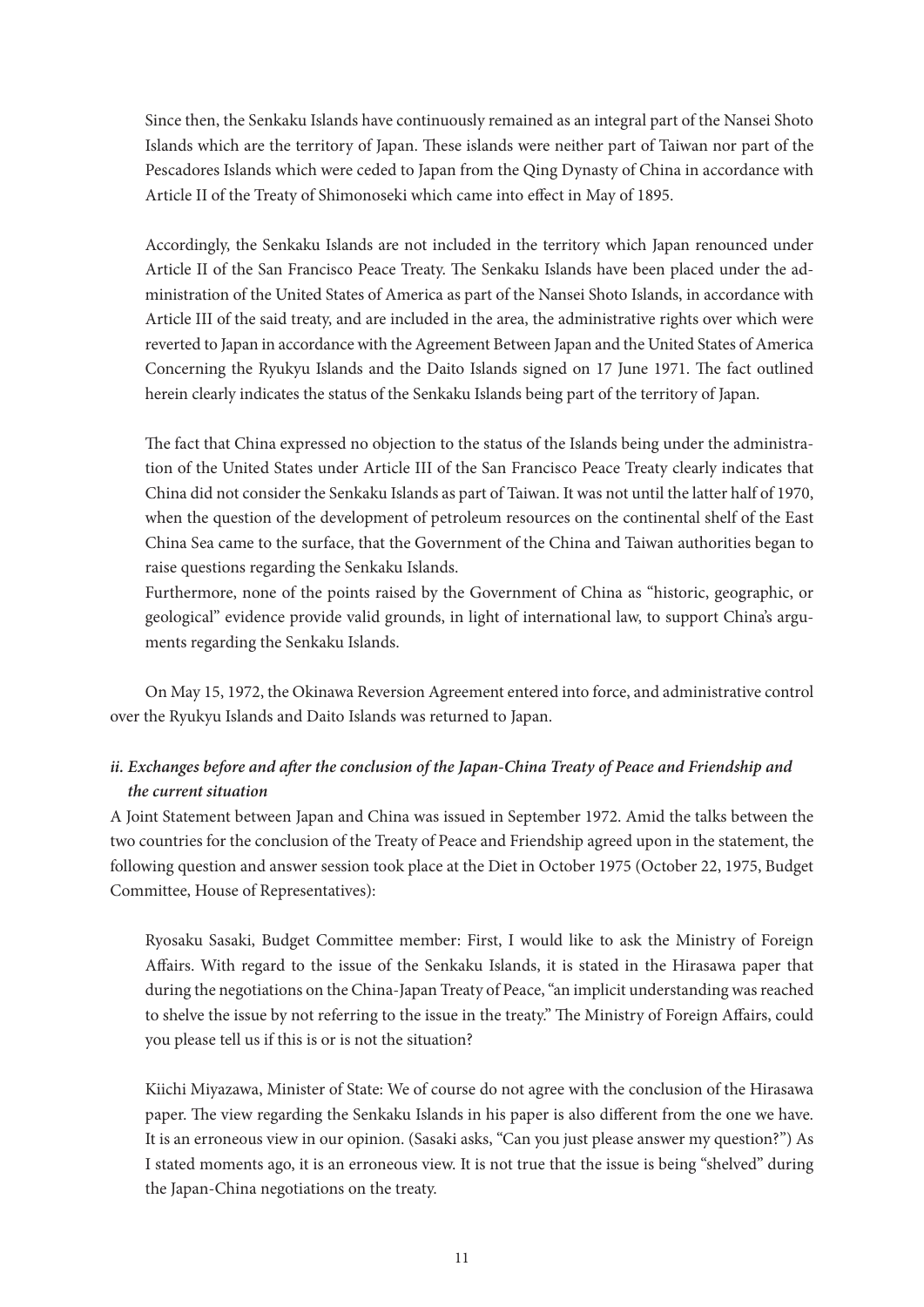Since then, the Senkaku Islands have continuously remained as an integral part of the Nansei Shoto Islands which are the territory of Japan. These islands were neither part of Taiwan nor part of the Pescadores Islands which were ceded to Japan from the Qing Dynasty of China in accordance with Article II of the Treaty of Shimonoseki which came into effect in May of 1895.

Accordingly, the Senkaku Islands are not included in the territory which Japan renounced under Article II of the San Francisco Peace Treaty. The Senkaku Islands have been placed under the administration of the United States of America as part of the Nansei Shoto Islands, in accordance with Article III of the said treaty, and are included in the area, the administrative rights over which were reverted to Japan in accordance with the Agreement Between Japan and the United States of America Concerning the Ryukyu Islands and the Daito Islands signed on 17 June 1971. The fact outlined herein clearly indicates the status of the Senkaku Islands being part of the territory of Japan.

The fact that China expressed no objection to the status of the Islands being under the administration of the United States under Article III of the San Francisco Peace Treaty clearly indicates that China did not consider the Senkaku Islands as part of Taiwan. It was not until the latter half of 1970, when the question of the development of petroleum resources on the continental shelf of the East China Sea came to the surface, that the Government of the China and Taiwan authorities began to raise questions regarding the Senkaku Islands.

Furthermore, none of the points raised by the Government of China as "historic, geographic, or geological" evidence provide valid grounds, in light of international law, to support China's arguments regarding the Senkaku Islands.

On May 15, 1972, the Okinawa Reversion Agreement entered into force, and administrative control over the Ryukyu Islands and Daito Islands was returned to Japan.

# *ii. Exchanges before and after the conclusion of the Japan-China Treaty of Peace and Friendship and the current situation*

A Joint Statement between Japan and China was issued in September 1972. Amid the talks between the two countries for the conclusion of the Treaty of Peace and Friendship agreed upon in the statement, the following question and answer session took place at the Diet in October 1975 (October 22, 1975, Budget Committee, House of Representatives):

Ryosaku Sasaki, Budget Committee member: First, I would like to ask the Ministry of Foreign Affairs. With regard to the issue of the Senkaku Islands, it is stated in the Hirasawa paper that during the negotiations on the China-Japan Treaty of Peace, "an implicit understanding was reached to shelve the issue by not referring to the issue in the treaty." The Ministry of Foreign Affairs, could you please tell us if this is or is not the situation?

Kiichi Miyazawa, Minister of State: We of course do not agree with the conclusion of the Hirasawa paper. The view regarding the Senkaku Islands in his paper is also different from the one we have. It is an erroneous view in our opinion. (Sasaki asks, "Can you just please answer my question?") As I stated moments ago, it is an erroneous view. It is not true that the issue is being "shelved" during the Japan-China negotiations on the treaty.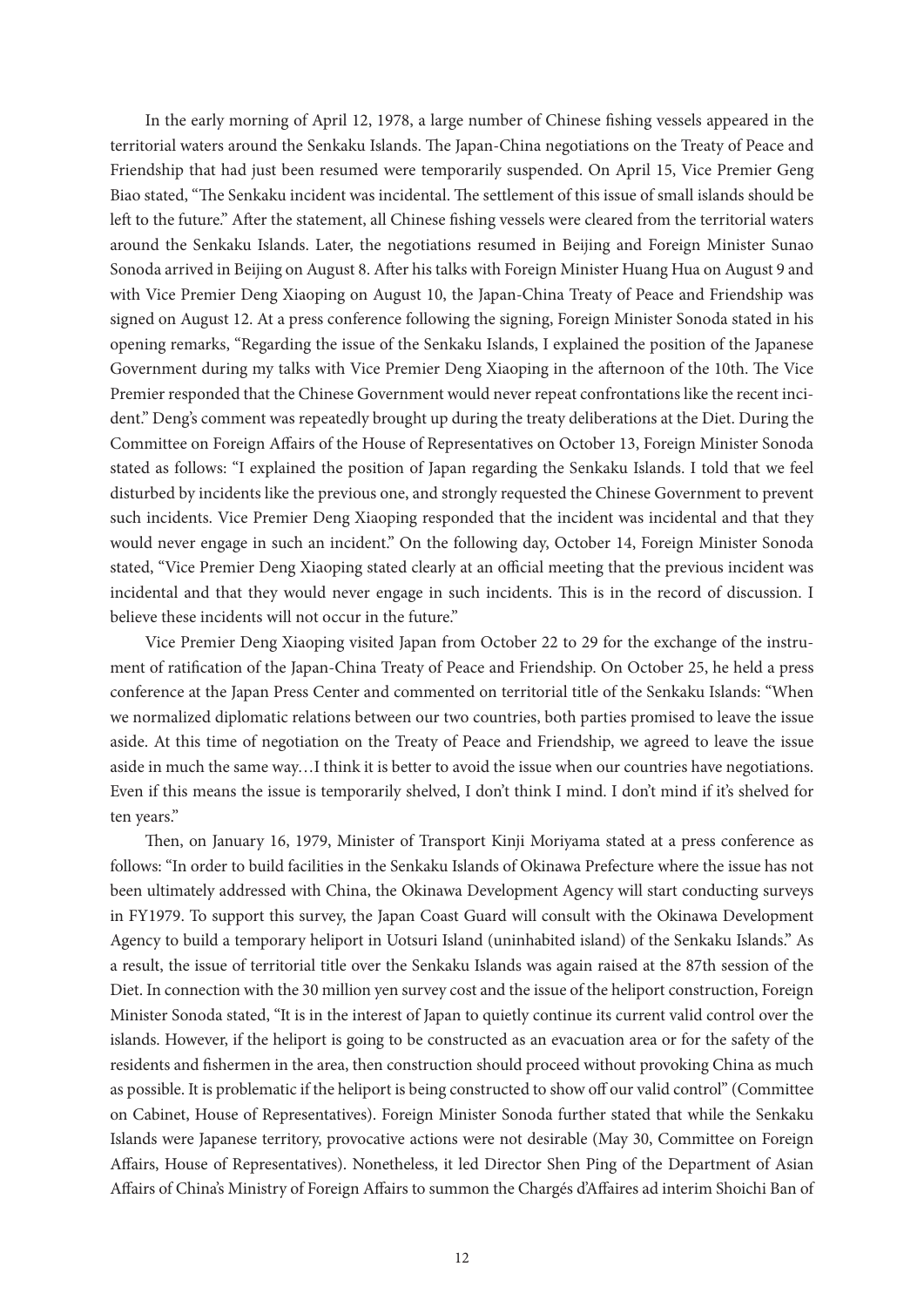In the early morning of April 12, 1978, a large number of Chinese fishing vessels appeared in the territorial waters around the Senkaku Islands. The Japan-China negotiations on the Treaty of Peace and Friendship that had just been resumed were temporarily suspended. On April 15, Vice Premier Geng Biao stated, "The Senkaku incident was incidental. The settlement of this issue of small islands should be left to the future." After the statement, all Chinese fishing vessels were cleared from the territorial waters around the Senkaku Islands. Later, the negotiations resumed in Beijing and Foreign Minister Sunao Sonoda arrived in Beijing on August 8. After his talks with Foreign Minister Huang Hua on August 9 and with Vice Premier Deng Xiaoping on August 10, the Japan-China Treaty of Peace and Friendship was signed on August 12. At a press conference following the signing, Foreign Minister Sonoda stated in his opening remarks, "Regarding the issue of the Senkaku Islands, I explained the position of the Japanese Government during my talks with Vice Premier Deng Xiaoping in the afternoon of the 10th. The Vice Premier responded that the Chinese Government would never repeat confrontations like the recent incident." Deng's comment was repeatedly brought up during the treaty deliberations at the Diet. During the Committee on Foreign Affairs of the House of Representatives on October 13, Foreign Minister Sonoda stated as follows: "I explained the position of Japan regarding the Senkaku Islands. I told that we feel disturbed by incidents like the previous one, and strongly requested the Chinese Government to prevent such incidents. Vice Premier Deng Xiaoping responded that the incident was incidental and that they would never engage in such an incident." On the following day, October 14, Foreign Minister Sonoda stated, "Vice Premier Deng Xiaoping stated clearly at an official meeting that the previous incident was incidental and that they would never engage in such incidents. This is in the record of discussion. I believe these incidents will not occur in the future."

Vice Premier Deng Xiaoping visited Japan from October 22 to 29 for the exchange of the instrument of ratification of the Japan-China Treaty of Peace and Friendship. On October 25, he held a press conference at the Japan Press Center and commented on territorial title of the Senkaku Islands: "When we normalized diplomatic relations between our two countries, both parties promised to leave the issue aside. At this time of negotiation on the Treaty of Peace and Friendship, we agreed to leave the issue aside in much the same way…I think it is better to avoid the issue when our countries have negotiations. Even if this means the issue is temporarily shelved, I don't think I mind. I don't mind if it's shelved for ten years."

Then, on January 16, 1979, Minister of Transport Kinji Moriyama stated at a press conference as follows: "In order to build facilities in the Senkaku Islands of Okinawa Prefecture where the issue has not been ultimately addressed with China, the Okinawa Development Agency will start conducting surveys in FY1979. To support this survey, the Japan Coast Guard will consult with the Okinawa Development Agency to build a temporary heliport in Uotsuri Island (uninhabited island) of the Senkaku Islands." As a result, the issue of territorial title over the Senkaku Islands was again raised at the 87th session of the Diet. In connection with the 30 million yen survey cost and the issue of the heliport construction, Foreign Minister Sonoda stated, "It is in the interest of Japan to quietly continue its current valid control over the islands. However, if the heliport is going to be constructed as an evacuation area or for the safety of the residents and fishermen in the area, then construction should proceed without provoking China as much as possible. It is problematic if the heliport is being constructed to show off our valid control" (Committee on Cabinet, House of Representatives). Foreign Minister Sonoda further stated that while the Senkaku Islands were Japanese territory, provocative actions were not desirable (May 30, Committee on Foreign Affairs, House of Representatives). Nonetheless, it led Director Shen Ping of the Department of Asian Affairs of China's Ministry of Foreign Affairs to summon the Chargés d'Affaires ad interim Shoichi Ban of